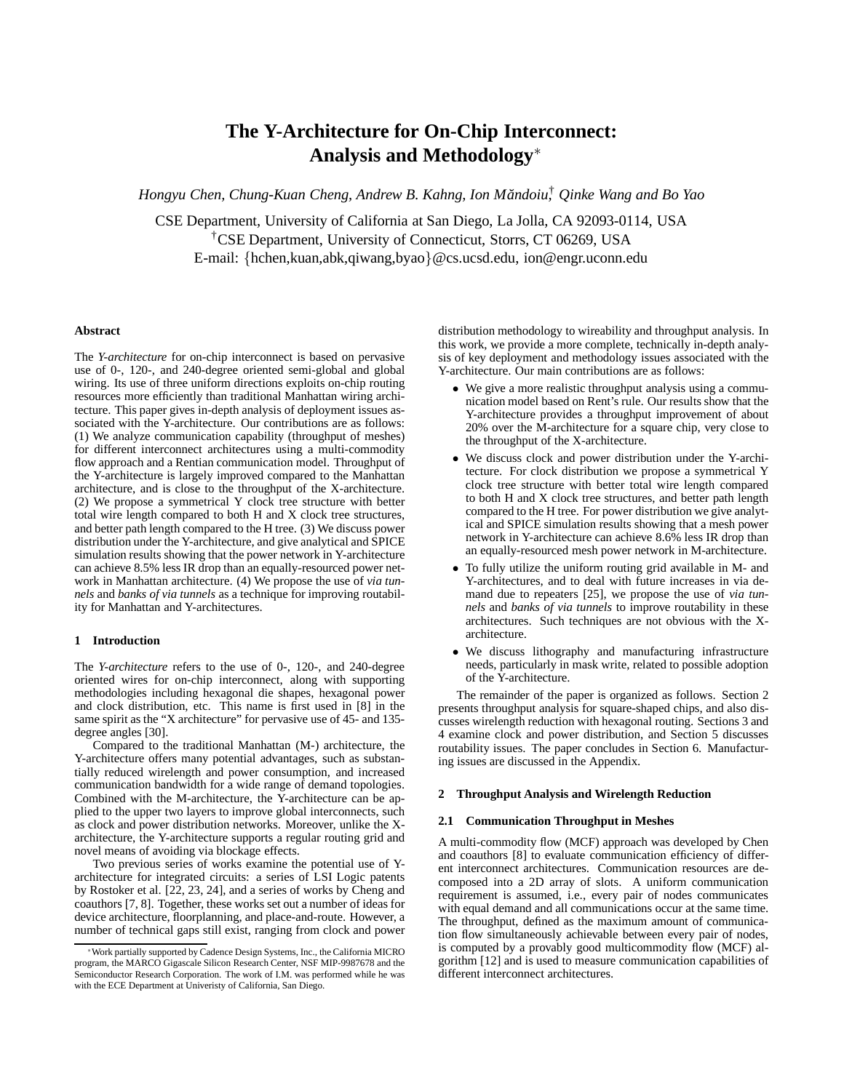# **The Y-Architecture for On-Chip Interconnect: Analysis and Methodology**∗

*Hongyu Chen, Chung-Kuan Cheng, Andrew B. Kahng, Ion Mandoiu, ˘* † *Qinke Wang and Bo Yao*

CSE Department, University of California at San Diego, La Jolla, CA 92093-0114, USA †CSE Department, University of Connecticut, Storrs, CT 06269, USA E-mail: {hchen,kuan,abk,qiwang,byao}@cs.ucsd.edu, ion@engr.uconn.edu

# **Abstract**

The *Y-architecture* for on-chip interconnect is based on pervasive use of 0-, 120-, and 240-degree oriented semi-global and global wiring. Its use of three uniform directions exploits on-chip routing resources more efficiently than traditional Manhattan wiring architecture. This paper gives in-depth analysis of deployment issues associated with the Y-architecture. Our contributions are as follows: (1) We analyze communication capability (throughput of meshes) for different interconnect architectures using a multi-commodity flow approach and a Rentian communication model. Throughput of the Y-architecture is largely improved compared to the Manhattan architecture, and is close to the throughput of the X-architecture. (2) We propose a symmetrical Y clock tree structure with better total wire length compared to both H and X clock tree structures, and better path length compared to the H tree. (3) We discuss power distribution under the Y-architecture, and give analytical and SPICE simulation results showing that the power network in Y-architecture can achieve 8.5% less IR drop than an equally-resourced power network in Manhattan architecture. (4) We propose the use of *via tunnels* and *banks of via tunnels* as a technique for improving routability for Manhattan and Y-architectures.

## **1 Introduction**

The *Y-architecture* refers to the use of 0-, 120-, and 240-degree oriented wires for on-chip interconnect, along with supporting methodologies including hexagonal die shapes, hexagonal power and clock distribution, etc. This name is first used in [8] in the same spirit as the "X architecture" for pervasive use of 45- and 135degree angles [30].

Compared to the traditional Manhattan (M-) architecture, the Y-architecture offers many potential advantages, such as substantially reduced wirelength and power consumption, and increased communication bandwidth for a wide range of demand topologies. Combined with the M-architecture, the Y-architecture can be applied to the upper two layers to improve global interconnects, such as clock and power distribution networks. Moreover, unlike the Xarchitecture, the Y-architecture supports a regular routing grid and novel means of avoiding via blockage effects.

Two previous series of works examine the potential use of Yarchitecture for integrated circuits: a series of LSI Logic patents by Rostoker et al. [22, 23, 24], and a series of works by Cheng and coauthors [7, 8]. Together, these works set out a number of ideas for device architecture, floorplanning, and place-and-route. However, a number of technical gaps still exist, ranging from clock and power distribution methodology to wireability and throughput analysis. In this work, we provide a more complete, technically in-depth analysis of key deployment and methodology issues associated with the Y-architecture. Our main contributions are as follows:

- We give a more realistic throughput analysis using a communication model based on Rent's rule. Our results show that the Y-architecture provides a throughput improvement of about 20% over the M-architecture for a square chip, very close to the throughput of the X-architecture.
- We discuss clock and power distribution under the Y-architecture. For clock distribution we propose a symmetrical Y clock tree structure with better total wire length compared to both H and X clock tree structures, and better path length compared to the H tree. For power distribution we give analytical and SPICE simulation results showing that a mesh power network in Y-architecture can achieve 8.6% less IR drop than an equally-resourced mesh power network in M-architecture.
- To fully utilize the uniform routing grid available in M- and Y-architectures, and to deal with future increases in via demand due to repeaters [25], we propose the use of *via tunnels* and *banks of via tunnels* to improve routability in these architectures. Such techniques are not obvious with the Xarchitecture.
- We discuss lithography and manufacturing infrastructure needs, particularly in mask write, related to possible adoption of the Y-architecture.

The remainder of the paper is organized as follows. Section 2 presents throughput analysis for square-shaped chips, and also discusses wirelength reduction with hexagonal routing. Sections 3 and 4 examine clock and power distribution, and Section 5 discusses routability issues. The paper concludes in Section 6. Manufacturing issues are discussed in the Appendix.

# **2 Throughput Analysis and Wirelength Reduction**

## **2.1 Communication Throughput in Meshes**

A multi-commodity flow (MCF) approach was developed by Chen and coauthors [8] to evaluate communication efficiency of different interconnect architectures. Communication resources are decomposed into a 2D array of slots. A uniform communication requirement is assumed, i.e., every pair of nodes communicates with equal demand and all communications occur at the same time. The throughput, defined as the maximum amount of communication flow simultaneously achievable between every pair of nodes, is computed by a provably good multicommodity flow (MCF) algorithm [12] and is used to measure communication capabilities of different interconnect architectures.

<sup>∗</sup>Work partially supported by Cadence Design Systems, Inc., the California MICRO program, the MARCO Gigascale Silicon Research Center, NSF MIP-9987678 and the Semiconductor Research Corporation. The work of I.M. was performed while he was with the ECE Department at Univeristy of California, San Diego.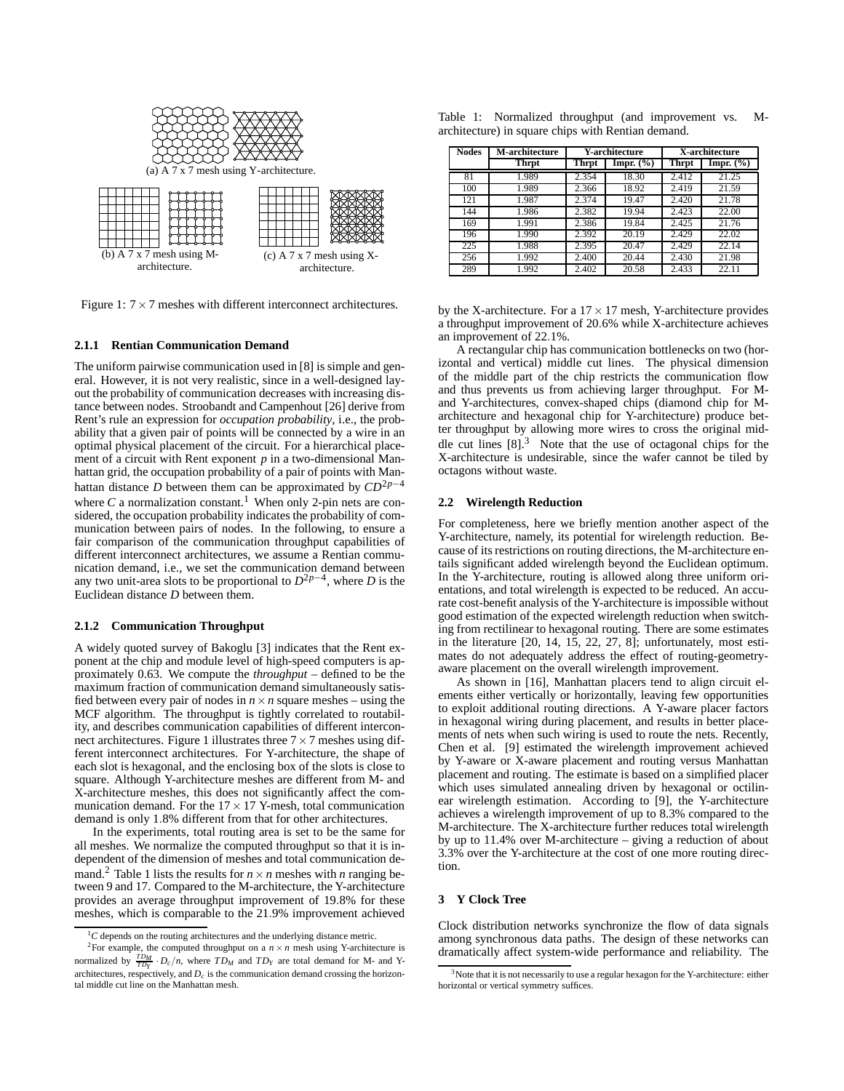

Figure 1:  $7 \times 7$  meshes with different interconnect architectures.

## **2.1.1 Rentian Communication Demand**

The uniform pairwise communication used in [8] is simple and general. However, it is not very realistic, since in a well-designed layout the probability of communication decreases with increasing distance between nodes. Stroobandt and Campenhout [26] derive from Rent's rule an expression for *occupation probability*, i.e., the probability that a given pair of points will be connected by a wire in an optimal physical placement of the circuit. For a hierarchical placement of a circuit with Rent exponent *p* in a two-dimensional Manhattan grid, the occupation probability of a pair of points with Manhattan distance *D* between them can be approximated by *CD* 2*p*−4 where  $C$  a normalization constant.<sup>1</sup> When only 2-pin nets are considered, the occupation probability indicates the probability of communication between pairs of nodes. In the following, to ensure a fair comparison of the communication throughput capabilities of different interconnect architectures, we assume a Rentian communication demand, i.e., we set the communication demand between any two unit-area slots to be proportional to  $D^{2p-4}$ , where *D* is the Euclidean distance *D* between them.

## **2.1.2 Communication Throughput**

A widely quoted survey of Bakoglu [3] indicates that the Rent exponent at the chip and module level of high-speed computers is approximately 0.63. We compute the *throughput* – defined to be the maximum fraction of communication demand simultaneously satisfied between every pair of nodes in  $n \times n$  square meshes – using the MCF algorithm. The throughput is tightly correlated to routability, and describes communication capabilities of different interconnect architectures. Figure 1 illustrates three  $7 \times 7$  meshes using different interconnect architectures. For Y-architecture, the shape of each slot is hexagonal, and the enclosing box of the slots is close to square. Although Y-architecture meshes are different from M- and X-architecture meshes, this does not significantly affect the communication demand. For the  $17 \times 17$  Y-mesh, total communication demand is only 1.8% different from that for other architectures.

In the experiments, total routing area is set to be the same for all meshes. We normalize the computed throughput so that it is independent of the dimension of meshes and total communication demand.<sup>2</sup> Table 1 lists the results for  $n \times n$  meshes with *n* ranging between 9 and 17. Compared to the M-architecture, the Y-architecture provides an average throughput improvement of 19.8% for these meshes, which is comparable to the 21.9% improvement achieved

|  |                                                    |  | Table 1: Normalized throughput (and improvement vs. | $M-$ |
|--|----------------------------------------------------|--|-----------------------------------------------------|------|
|  | architecture) in square chips with Rentian demand. |  |                                                     |      |

| <b>Nodes</b> | M-architecture | <b>Y-architecture</b> |               | X-architecture |              |
|--------------|----------------|-----------------------|---------------|----------------|--------------|
|              | <b>Thrpt</b>   | <b>Thrpt</b>          | Impr. $(\% )$ | <b>Thrpt</b>   | Impr. $(\%)$ |
| 81           | 1.989          | 2.354                 | 18.30         | 2.412          | 21.25        |
| 100          | 1.989          | 2.366                 | 18.92         | 2.419          | 21.59        |
| 121          | 1.987          | 2.374                 | 19.47         | 2.420          | 21.78        |
| 144          | 1.986          | 2.382                 | 19.94         | 2.423          | 22.00        |
| 169          | 1.991          | 2.386                 | 19.84         | 2.425          | 21.76        |
| 196          | 1.990          | 2.392                 | 20.19         | 2.429          | 22.02        |
| 225          | 1.988          | 2.395                 | 20.47         | 2.429          | 22.14        |
| 256          | 1.992          | 2.400                 | 20.44         | 2.430          | 21.98        |
| 289          | 1.992          | 2.402                 | 20.58         | 2.433          | 22.11        |

by the X-architecture. For a  $17 \times 17$  mesh, Y-architecture provides a throughput improvement of 20.6% while X-architecture achieves an improvement of 22.1%.

A rectangular chip has communication bottlenecks on two (horizontal and vertical) middle cut lines. The physical dimension of the middle part of the chip restricts the communication flow and thus prevents us from achieving larger throughput. For Mand Y-architectures, convex-shaped chips (diamond chip for Marchitecture and hexagonal chip for Y-architecture) produce better throughput by allowing more wires to cross the original middle cut lines  $[8]$ <sup>3</sup>. Note that the use of octagonal chips for the X-architecture is undesirable, since the wafer cannot be tiled by octagons without waste.

#### **2.2 Wirelength Reduction**

For completeness, here we briefly mention another aspect of the Y-architecture, namely, its potential for wirelength reduction. Because of its restrictions on routing directions, the M-architecture entails significant added wirelength beyond the Euclidean optimum. In the Y-architecture, routing is allowed along three uniform orientations, and total wirelength is expected to be reduced. An accurate cost-benefit analysis of the Y-architecture is impossible without good estimation of the expected wirelength reduction when switching from rectilinear to hexagonal routing. There are some estimates in the literature [20, 14, 15, 22, 27, 8]; unfortunately, most estimates do not adequately address the effect of routing-geometryaware placement on the overall wirelength improvement.

As shown in [16], Manhattan placers tend to align circuit elements either vertically or horizontally, leaving few opportunities to exploit additional routing directions. A Y-aware placer factors in hexagonal wiring during placement, and results in better placements of nets when such wiring is used to route the nets. Recently, Chen et al. [9] estimated the wirelength improvement achieved by Y-aware or X-aware placement and routing versus Manhattan placement and routing. The estimate is based on a simplified placer which uses simulated annealing driven by hexagonal or octilinear wirelength estimation. According to [9], the Y-architecture achieves a wirelength improvement of up to 8.3% compared to the M-architecture. The X-architecture further reduces total wirelength by up to 11.4% over M-architecture – giving a reduction of about 3.3% over the Y-architecture at the cost of one more routing direction.

# **3 Y Clock Tree**

Clock distribution networks synchronize the flow of data signals among synchronous data paths. The design of these networks can dramatically affect system-wide performance and reliability. The

 ${}^{1}C$  depends on the routing architectures and the underlying distance metric.

<sup>&</sup>lt;sup>2</sup>For example, the computed throughput on a  $n \times n$  mesh using Y-architecture is normalized by  $\frac{TD_M}{TD_Y} \cdot D_c/n$ , where  $TD_M$  and  $TD_Y$  are total demand for M- and Yarchitectures, respectively, and  $D_c$  is the communication demand crossing the horizontal middle cut line on the Manhattan mesh.

 $3$ Note that it is not necessarily to use a regular hexagon for the Y-architecture: either horizontal or vertical symmetry suffices.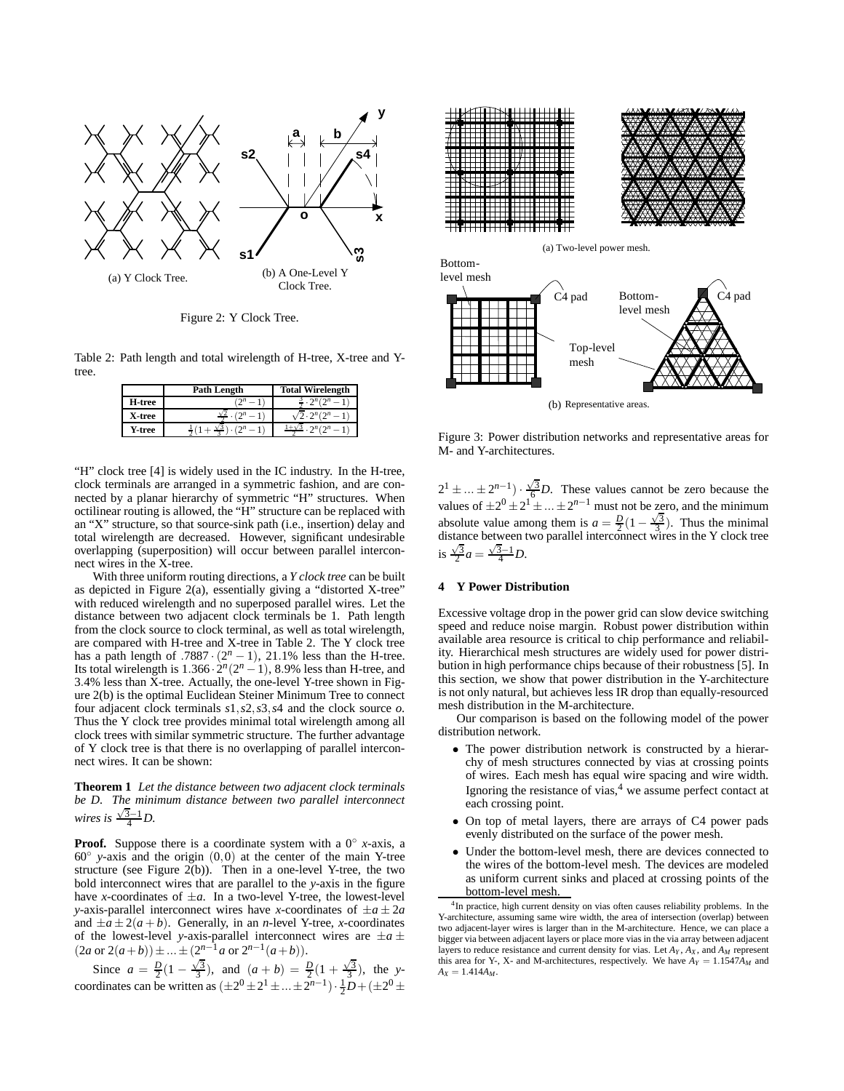

Figure 2: Y Clock Tree.

Table 2: Path length and total wirelength of H-tree, X-tree and Ytree.

|        | <b>Path Length</b> | <b>Total Wirelength</b>         |
|--------|--------------------|---------------------------------|
| H-tree | $2^n-$             | $2^{n} \cdot 2^{n} (2^{n} - 1)$ |
| X-tree | (2n)               | $\sqrt{2 \cdot 2^n} (2^n)$      |
| Y-tree |                    | $2^n(2^n-1)$<br>$1 + y$         |

"H" clock tree [4] is widely used in the IC industry. In the H-tree, clock terminals are arranged in a symmetric fashion, and are connected by a planar hierarchy of symmetric "H" structures. When octilinear routing is allowed, the "H" structure can be replaced with an "X" structure, so that source-sink path (i.e., insertion) delay and total wirelength are decreased. However, significant undesirable overlapping (superposition) will occur between parallel interconnect wires in the X-tree.

With three uniform routing directions, a *Y clock tree* can be built as depicted in Figure 2(a), essentially giving a "distorted X-tree" with reduced wirelength and no superposed parallel wires. Let the distance between two adjacent clock terminals be 1. Path length from the clock source to clock terminal, as well as total wirelength, are compared with H-tree and X-tree in Table 2. The Y clock tree has a path length of .7887 ·  $(2^n - 1)$ , 21.1% less than the H-tree. Its total wirelength is  $1.366 \cdot 2^n(2^n - 1)$ , 8.9% less than H-tree, and 3.4% less than X-tree. Actually, the one-level Y-tree shown in Figure 2(b) is the optimal Euclidean Steiner Minimum Tree to connect four adjacent clock terminals *s*1,*s*2,*s*3,*s*4 and the clock source *o*. Thus the Y clock tree provides minimal total wirelength among all clock trees with similar symmetric structure. The further advantage of Y clock tree is that there is no overlapping of parallel interconnect wires. It can be shown:

**Theorem 1** *Let the distance between two adjacent clock terminals be D. The minimum distance between two parallel interconnect wires is*  $\frac{\sqrt{3}-1}{4}D$ .

**Proof.** Suppose there is a coordinate system with a  $0^\circ$  *x*-axis, a 60◦ *y*-axis and the origin (0,0) at the center of the main Y-tree structure (see Figure  $2(b)$ ). Then in a one-level Y-tree, the two bold interconnect wires that are parallel to the *y*-axis in the figure have *x*-coordinates of  $\pm a$ . In a two-level Y-tree, the lowest-level *y*-axis-parallel interconnect wires have *x*-coordinates of  $\pm a \pm 2a$ and  $\pm a \pm 2(a+b)$ . Generally, in an *n*-level Y-tree, *x*-coordinates of the lowest-level *y*-axis-parallel interconnect wires are  $\pm a \pm \sqrt{a^2 + a^2}$  $(2a \text{ or } 2(a+b)) \pm ... \pm (2^{n-1}a \text{ or } 2^{n-1}(a+b)).$ 

Since  $a = \frac{D}{2}(1 - \frac{\sqrt{3}}{3})$ , and  $(a + b) = \frac{D}{2}(1 + \frac{\sqrt{3}}{3})$ , the *y*coordinates can be written as  $(\pm 2^0 \pm 2^1 \pm ... \pm 2^{n-1}) \cdot \frac{1}{2}D + (\pm 2^0 \pm \frac{1}{2})$ 





Figure 3: Power distribution networks and representative areas for M- and Y-architectures.

 $2^1 \pm ... \pm 2^{n-1}$ ) ·  $\frac{\sqrt{3}}{6}$ *D*. These values cannot be zero because the values of  $\pm 2^0 \pm 2^1 \pm ... \pm 2^{n-1}$  must not be zero, and the minimum absolute value among them is  $a = \frac{D}{2}(1 - \frac{\sqrt{3}}{3})$ . Thus the minimal distance between two parallel interconnect wires in the Y clock tree is  $\frac{\sqrt{3}}{2}a = \frac{\sqrt{3}-1}{4}D$ .

## **4 Y Power Distribution**

Excessive voltage drop in the power grid can slow device switching speed and reduce noise margin. Robust power distribution within available area resource is critical to chip performance and reliability. Hierarchical mesh structures are widely used for power distribution in high performance chips because of their robustness [5]. In this section, we show that power distribution in the Y-architecture is not only natural, but achieves less IR drop than equally-resourced mesh distribution in the M-architecture.

Our comparison is based on the following model of the power distribution network.

- The power distribution network is constructed by a hierarchy of mesh structures connected by vias at crossing points of wires. Each mesh has equal wire spacing and wire width. Ignoring the resistance of vias,<sup>4</sup> we assume perfect contact at each crossing point.
- On top of metal layers, there are arrays of C4 power pads evenly distributed on the surface of the power mesh.
- Under the bottom-level mesh, there are devices connected to the wires of the bottom-level mesh. The devices are modeled as uniform current sinks and placed at crossing points of the bottom-level mesh.

<sup>&</sup>lt;sup>4</sup>In practice, high current density on vias often causes reliability problems. In the Y-architecture, assuming same wire width, the area of intersection (overlap) between two adjacent-layer wires is larger than in the M-architecture. Hence, we can place a bigger via between adjacent layers or place more vias in the via array between adjacent layers to reduce resistance and current density for vias. Let  $A_Y$ ,  $A_X$ , and  $A_M$  represent this area for Y-, X- and M-architectures, respectively. We have  $A_Y = 1.1547A_M$  and  $A_Y = 1.414 A_M$ .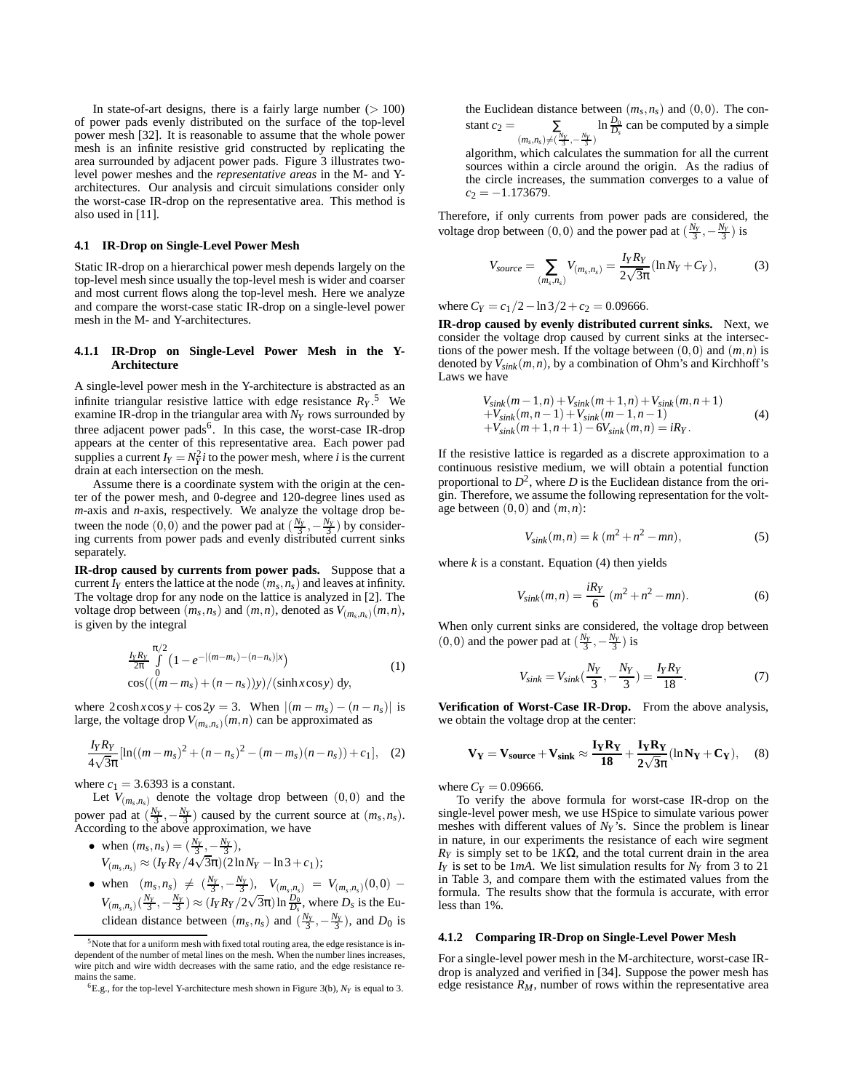In state-of-art designs, there is a fairly large number  $(>100)$ of power pads evenly distributed on the surface of the top-level power mesh [32]. It is reasonable to assume that the whole power mesh is an infinite resistive grid constructed by replicating the area surrounded by adjacent power pads. Figure 3 illustrates twolevel power meshes and the *representative areas* in the M- and Yarchitectures. Our analysis and circuit simulations consider only the worst-case IR-drop on the representative area. This method is also used in [11].

#### **4.1 IR-Drop on Single-Level Power Mesh**

Static IR-drop on a hierarchical power mesh depends largely on the top-level mesh since usually the top-level mesh is wider and coarser and most current flows along the top-level mesh. Here we analyze and compare the worst-case static IR-drop on a single-level power mesh in the M- and Y-architectures.

## **4.1.1 IR-Drop on Single-Level Power Mesh in the Y-Architecture**

A single-level power mesh in the Y-architecture is abstracted as an infinite triangular resistive lattice with edge resistance  $R_Y$ .<sup>5</sup> We examine IR-drop in the triangular area with *N<sup>Y</sup>* rows surrounded by three adjacent power pads<sup>6</sup>. In this case, the worst-case IR-drop appears at the center of this representative area. Each power pad supplies a current  $I_Y = N_Y^2 i$  to the power mesh, where *i* is the current drain at each intersection on the mesh.

Assume there is a coordinate system with the origin at the center of the power mesh, and 0-degree and 120-degree lines used as *m*-axis and *n*-axis, respectively. We analyze the voltage drop between the node (0,0) and the power pad at  $(\frac{N_Y}{3}, -\frac{N_Y}{3})$  by considering currents from power pads and evenly distributed current sinks separately.

**IR-drop caused by currents from power pads.** Suppose that a current  $I_Y$  enters the lattice at the node  $(m_s, n_s)$  and leaves at infinity. The voltage drop for any node on the lattice is analyzed in [2]. The voltage drop between  $(m_s, n_s)$  and  $(m, n)$ , denoted as  $V_{(m_s, n_s)}(m, n)$ , is given by the integral

$$
\frac{I_{Y}R_{Y}}{2\pi} \int_{0}^{\pi/2} \left(1 - e^{-|(m-m_{s})-(n-n_{s})|x}\right) \cos(((m-m_{s})+(n-n_{s}))y)/(\sinh x \cos y) dy,
$$
\n(1)

where  $2\cosh x \cos y + \cos 2y = 3$ . When  $|(m - m_s) - (n - n_s)|$  is large, the voltage drop  $V_{(m_s,n_s)}(m,n)$  can be approximated as

$$
\frac{I_Y R_Y}{4\sqrt{3}\pi}[\ln((m-m_s)^2 + (n-n_s)^2 - (m-m_s)(n-n_s)) + c_1], \quad (2)
$$

where  $c_1 = 3.6393$  is a constant.

Let  $V_{(m_s,n_s)}$  denote the voltage drop between  $(0,0)$  and the power pad at  $(\frac{N_Y}{3}, -\frac{N_Y}{3})$  caused by the current source at  $(m_S, n_S)$ . According to the above approximation, we have

- when  $(m_s, n_s) = (\frac{N_Y}{3}, -\frac{N_Y}{3}),$  $V_{(m_s, n_s)} \approx (I_Y R_Y / 4\sqrt{3\pi})(2\ln N_Y - \ln 3 + c_1);$
- when  $(m_s, n_s) \neq (\frac{N_y}{3}, -\frac{N_y}{3}), V_{(m_s, n_s)} = V_{(m_s, n_s)}(0,0)$  $V_{(m_s, n_s)}(\frac{N_Y}{3}, -\frac{N_Y}{3}) \approx (I_Y R_Y/2\sqrt{3\pi}) \ln \frac{N_0}{D_s}$ , where  $D_s$  is the Euclidean distance between  $(m_s, n_s)$  and  $(\frac{N_y}{3}, -\frac{N_y}{3})$ , and  $D_0$  is

the Euclidean distance between  $(m_s, n_s)$  and  $(0, 0)$ . The constant  $c_2 = \sum$  $(m_s, n_s) \neq (\frac{N_Y}{3}, -\frac{N_Y}{3})$  $\ln \frac{D_0}{D_s}$  can be computed by a simple

algorithm, which calculates the summation for all the current sources within a circle around the origin. As the radius of the circle increases, the summation converges to a value of  $c_2 = -1.173679$ .

Therefore, if only currents from power pads are considered, the voltage drop between (0,0) and the power pad at  $(\frac{N_Y}{3}, -\frac{N_Y}{3})$  is

$$
V_{source} = \sum_{(m_s, n_s)} V_{(m_s, n_s)} = \frac{I_Y R_Y}{2\sqrt{3}\pi} (\ln N_Y + C_Y),
$$
 (3)

where  $C_Y = c_1/2 - \ln 3/2 + c_2 = 0.09666$ .

**IR-drop caused by evenly distributed current sinks.** Next, we consider the voltage drop caused by current sinks at the intersections of the power mesh. If the voltage between  $(0,0)$  and  $(m,n)$  is denoted by  $V_{sink}(m, n)$ , by a combination of Ohm's and Kirchhoff's Laws we have

$$
V_{sink}(m-1,n) + V_{sink}(m+1,n) + V_{sink}(m,n+1) + V_{sink}(m,n-1) + V_{sink}(m-1,n-1) + V_{sink}(m+1,n+1) - 6V_{sink}(m,n) = iRY.
$$
 (4)

If the resistive lattice is regarded as a discrete approximation to a continuous resistive medium, we will obtain a potential function proportional to  $D^2$ , where D is the Euclidean distance from the origin. Therefore, we assume the following representation for the voltage between  $(0,0)$  and  $(m,n)$ :

$$
V_{sink}(m,n) = k (m^2 + n^2 - mn),
$$
 (5)

where  $k$  is a constant. Equation  $(4)$  then yields

$$
V_{sink}(m,n) = \frac{iR_Y}{6} (m^2 + n^2 - mn).
$$
 (6)

When only current sinks are considered, the voltage drop between  $(0,0)$  and the power pad at  $(\frac{N_Y}{3}, -\frac{N_Y}{3})$  is

$$
V_{sink} = V_{sink}(\frac{N_Y}{3}, -\frac{N_Y}{3}) = \frac{I_Y R_Y}{18}.
$$
 (7)

**Verification of Worst-Case IR-Drop.** From the above analysis, we obtain the voltage drop at the center:

$$
\mathbf{V}_{\mathbf{Y}} = \mathbf{V}_{\text{source}} + \mathbf{V}_{\text{sink}} \approx \frac{\mathbf{I}_{\mathbf{Y}} \mathbf{R}_{\mathbf{Y}}}{18} + \frac{\mathbf{I}_{\mathbf{Y}} \mathbf{R}_{\mathbf{Y}}}{2\sqrt{3}\pi} (\ln N_{\mathbf{Y}} + \mathbf{C}_{\mathbf{Y}}), \quad (8)
$$

where  $C_Y = 0.09666$ .

To verify the above formula for worst-case IR-drop on the single-level power mesh, we use HSpice to simulate various power meshes with different values of *N<sup>Y</sup>* 's. Since the problem is linear in nature, in our experiments the resistance of each wire segment  $R<sub>Y</sub>$  is simply set to be 1*K* $\Omega$ , and the total current drain in the area  $I_Y$  is set to be 1*mA*. We list simulation results for  $N_Y$  from 3 to 21 in Table 3, and compare them with the estimated values from the formula. The results show that the formula is accurate, with error less than 1%.

## **4.1.2 Comparing IR-Drop on Single-Level Power Mesh**

For a single-level power mesh in the M-architecture, worst-case IRdrop is analyzed and verified in [34]. Suppose the power mesh has edge resistance  $R_M$ , number of rows within the representative area

 $5$ Note that for a uniform mesh with fixed total routing area, the edge resistance is independent of the number of metal lines on the mesh. When the number lines increases, wire pitch and wire width decreases with the same ratio, and the edge resistance remains the same.

<sup>&</sup>lt;sup>6</sup>E.g., for the top-level Y-architecture mesh shown in Figure 3(b),  $N_Y$  is equal to 3.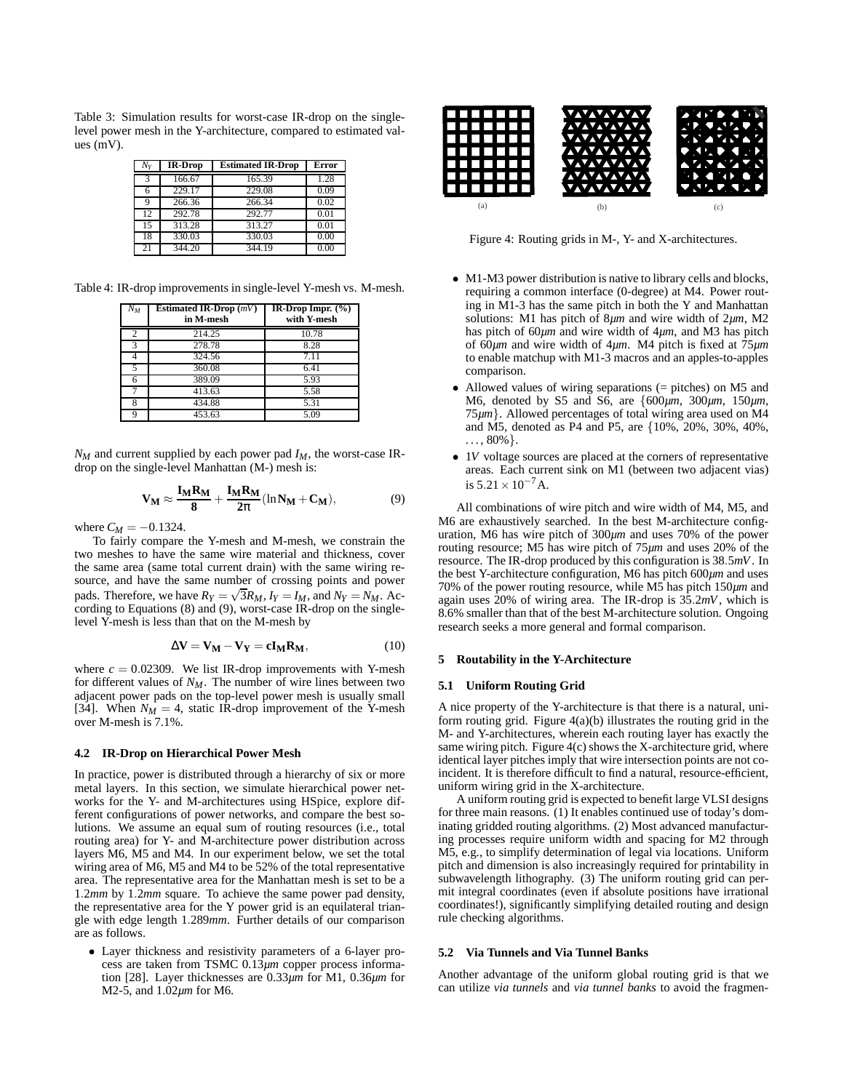Table 3: Simulation results for worst-case IR-drop on the singlelevel power mesh in the Y-architecture, compared to estimated values (mV).

| Ny | <b>IR-Drop</b> | <b>Estimated IR-Drop</b> | Error |
|----|----------------|--------------------------|-------|
| 3  | 166.67         | 165.39                   | 1.28  |
|    | 229.17         | 229.08                   | 0.09  |
| 9  | 266.36         | 266.34                   | 0.02  |
| 12 | 292.78         | 292.77                   | 0.01  |
| 15 | 313.28         | 313.27                   | 0.01  |
| 18 | 330.03         | 330.03                   | 0.00  |
| 21 | 344.20         | 344.19                   | 0.00  |

Table 4: IR-drop improvements in single-level Y-mesh vs. M-mesh.

| $N_M$ | Estimated IR-Drop $(mV)$<br>in M-mesh | IR-Drop Impr. $(\%)$<br>with Y-mesh |
|-------|---------------------------------------|-------------------------------------|
| 2     | 214.25                                | 10.78                               |
| 3     | 278.78                                | 8.28                                |
| 4     | 324.56                                | 7.11                                |
| 5     | 360.08                                | 6.41                                |
| 6     | 389.09                                | 5.93                                |
|       | 413.63                                | 5.58                                |
| 8     | 434.88                                | 5.31                                |
| Q     | 453.63                                | 5.09                                |

 $N_M$  and current supplied by each power pad  $I_M$ , the worst-case IRdrop on the single-level Manhattan (M-) mesh is:

$$
V_M \approx \frac{I_M R_M}{8} + \frac{I_M R_M}{2\pi} (\ln N_M + C_M), \tag{9}
$$

where  $C_M = -0.1324$ .

To fairly compare the Y-mesh and M-mesh, we constrain the two meshes to have the same wire material and thickness, cover the same area (same total current drain) with the same wiring resource, and have the same number of crossing points and power pads. Therefore, we have  $R_Y = \sqrt{3}R_M$ ,  $I_Y = I_M$ , and  $N_Y = N_M$ . According to Equations (8) and (9), worst-case IR-drop on the singlelevel Y-mesh is less than that on the M-mesh by

$$
\Delta V = V_M - V_Y = cI_M R_M, \qquad (10)
$$

where  $c = 0.02309$ . We list IR-drop improvements with Y-mesh for different values of *NM*. The number of wire lines between two adjacent power pads on the top-level power mesh is usually small [34]. When  $N_M = 4$ , static IR-drop improvement of the Y-mesh over M-mesh is 7.1%.

### **4.2 IR-Drop on Hierarchical Power Mesh**

In practice, power is distributed through a hierarchy of six or more metal layers. In this section, we simulate hierarchical power networks for the Y- and M-architectures using HSpice, explore different configurations of power networks, and compare the best solutions. We assume an equal sum of routing resources (i.e., total routing area) for Y- and M-architecture power distribution across layers M6, M5 and M4. In our experiment below, we set the total wiring area of M6, M5 and M4 to be 52% of the total representative area. The representative area for the Manhattan mesh is set to be a 1.2*mm* by 1.2*mm* square. To achieve the same power pad density, the representative area for the Y power grid is an equilateral triangle with edge length 1.289*mm*. Further details of our comparison are as follows.

• Layer thickness and resistivity parameters of a 6-layer process are taken from TSMC 0.13*µm* copper process information [28]. Layer thicknesses are 0.33*µm* for M1, 0.36*µm* for M2-5, and 1.02*µm* for M6.



Figure 4: Routing grids in M-, Y- and X-architectures.

- M1-M3 power distribution is native to library cells and blocks, requiring a common interface (0-degree) at M4. Power routing in M1-3 has the same pitch in both the Y and Manhattan solutions: M1 has pitch of 8*µm* and wire width of 2*µm*, M2 has pitch of 60*µm* and wire width of 4*µm*, and M3 has pitch of 60*µm* and wire width of 4*µm*. M4 pitch is fixed at 75*µm* to enable matchup with M1-3 macros and an apples-to-apples comparison.
- Allowed values of wiring separations (= pitches) on M5 and M6, denoted by S5 and S6, are {600*µm*, 300*µm*, 150*µm*, 75*µm*}. Allowed percentages of total wiring area used on M4 and M5, denoted as P4 and P5, are {10%, 20%, 30%, 40%,  $\ldots$ , 80%}.
- 1*V* voltage sources are placed at the corners of representative areas. Each current sink on M1 (between two adjacent vias) is  $5.21 \times 10^{-7}$  A.

All combinations of wire pitch and wire width of M4, M5, and M6 are exhaustively searched. In the best M-architecture configuration, M6 has wire pitch of 300*µm* and uses 70% of the power routing resource; M5 has wire pitch of 75*µm* and uses 20% of the resource. The IR-drop produced by this configuration is 38.5*mV*. In the best Y-architecture configuration, M6 has pitch 600*µm* and uses 70% of the power routing resource, while M5 has pitch 150*µm* and again uses 20% of wiring area. The IR-drop is 35.2*mV*, which is 8.6% smaller than that of the best M-architecture solution. Ongoing research seeks a more general and formal comparison.

## **5 Routability in the Y-Architecture**

#### **5.1 Uniform Routing Grid**

A nice property of the Y-architecture is that there is a natural, uniform routing grid. Figure  $4(a)(b)$  illustrates the routing grid in the M- and Y-architectures, wherein each routing layer has exactly the same wiring pitch. Figure 4(c) shows the X-architecture grid, where identical layer pitches imply that wire intersection points are not coincident. It is therefore difficult to find a natural, resource-efficient, uniform wiring grid in the X-architecture.

A uniform routing grid is expected to benefit large VLSI designs for three main reasons. (1) It enables continued use of today's dominating gridded routing algorithms. (2) Most advanced manufacturing processes require uniform width and spacing for M2 through M5, e.g., to simplify determination of legal via locations. Uniform pitch and dimension is also increasingly required for printability in subwavelength lithography. (3) The uniform routing grid can permit integral coordinates (even if absolute positions have irrational coordinates!), significantly simplifying detailed routing and design rule checking algorithms.

# **5.2 Via Tunnels and Via Tunnel Banks**

Another advantage of the uniform global routing grid is that we can utilize *via tunnels* and *via tunnel banks* to avoid the fragmen-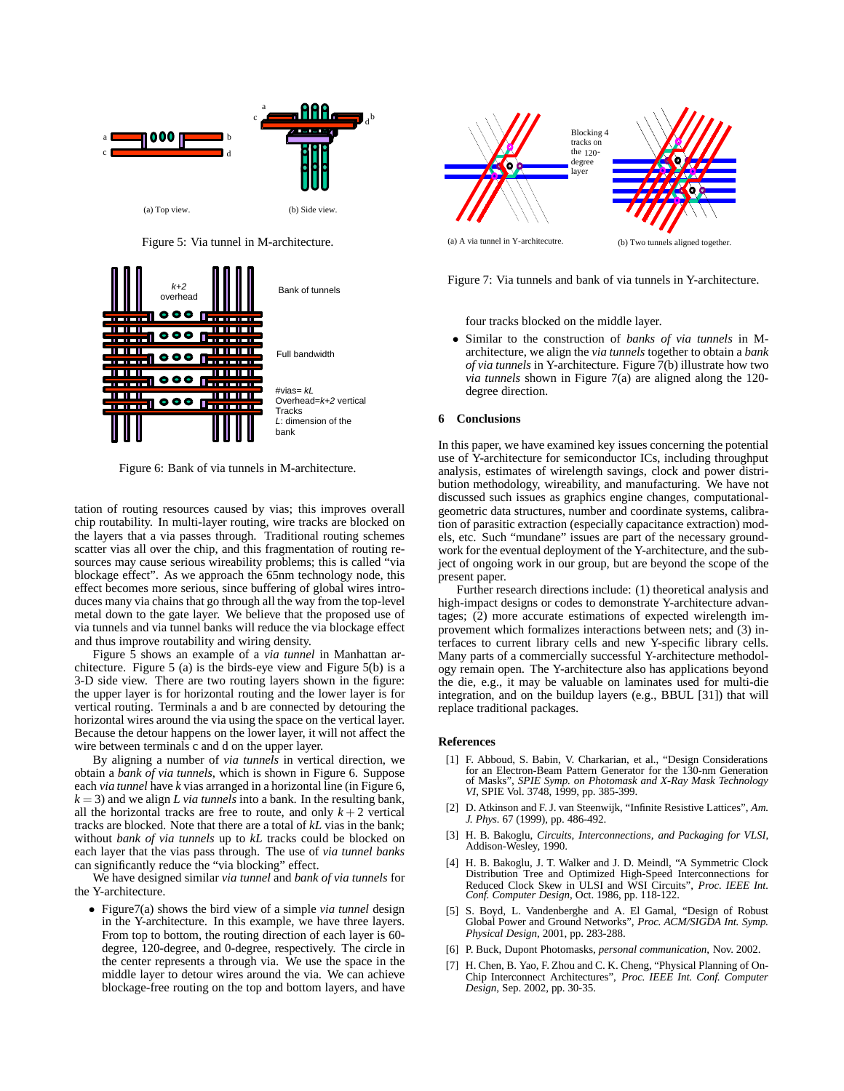

Figure 5: Via tunnel in M-architecture.



Figure 6: Bank of via tunnels in M-architecture.

tation of routing resources caused by vias; this improves overall chip routability. In multi-layer routing, wire tracks are blocked on the layers that a via passes through. Traditional routing schemes scatter vias all over the chip, and this fragmentation of routing resources may cause serious wireability problems; this is called "via blockage effect". As we approach the 65nm technology node, this effect becomes more serious, since buffering of global wires introduces many via chains that go through all the way from the top-level metal down to the gate layer. We believe that the proposed use of via tunnels and via tunnel banks will reduce the via blockage effect and thus improve routability and wiring density.

Figure 5 shows an example of a *via tunnel* in Manhattan architecture. Figure 5 (a) is the birds-eye view and Figure 5(b) is a 3-D side view. There are two routing layers shown in the figure: the upper layer is for horizontal routing and the lower layer is for vertical routing. Terminals a and b are connected by detouring the horizontal wires around the via using the space on the vertical layer. Because the detour happens on the lower layer, it will not affect the wire between terminals c and d on the upper layer.

By aligning a number of *via tunnels* in vertical direction, we obtain a *bank of via tunnels*, which is shown in Figure 6. Suppose each *via tunnel* have *k* vias arranged in a horizontal line (in Figure 6,  $k = 3$ ) and we align *L via tunnels* into a bank. In the resulting bank, all the horizontal tracks are free to route, and only  $k + 2$  vertical tracks are blocked. Note that there are a total of *kL* vias in the bank; without *bank of via tunnels* up to *kL* tracks could be blocked on each layer that the vias pass through. The use of *via tunnel banks* can significantly reduce the "via blocking" effect.

We have designed similar *via tunnel* and *bank of via tunnels* for the Y-architecture.

• Figure7(a) shows the bird view of a simple *via tunnel* design in the Y-architecture. In this example, we have three layers. From top to bottom, the routing direction of each layer is 60 degree, 120-degree, and 0-degree, respectively. The circle in the center represents a through via. We use the space in the middle layer to detour wires around the via. We can achieve blockage-free routing on the top and bottom layers, and have



Figure 7: Via tunnels and bank of via tunnels in Y-architecture.

four tracks blocked on the middle layer.

• Similar to the construction of *banks of via tunnels* in Marchitecture, we align the *via tunnels* together to obtain a *bank of via tunnels* in Y-architecture. Figure 7(b) illustrate how two *via tunnels* shown in Figure 7(a) are aligned along the 120 degree direction.

## **6 Conclusions**

In this paper, we have examined key issues concerning the potential use of Y-architecture for semiconductor ICs, including throughput analysis, estimates of wirelength savings, clock and power distribution methodology, wireability, and manufacturing. We have not discussed such issues as graphics engine changes, computationalgeometric data structures, number and coordinate systems, calibration of parasitic extraction (especially capacitance extraction) models, etc. Such "mundane" issues are part of the necessary groundwork for the eventual deployment of the Y-architecture, and the subject of ongoing work in our group, but are beyond the scope of the present paper.

Further research directions include: (1) theoretical analysis and high-impact designs or codes to demonstrate Y-architecture advantages; (2) more accurate estimations of expected wirelength improvement which formalizes interactions between nets; and (3) interfaces to current library cells and new Y-specific library cells. Many parts of a commercially successful Y-architecture methodology remain open. The Y-architecture also has applications beyond the die, e.g., it may be valuable on laminates used for multi-die integration, and on the buildup layers (e.g., BBUL [31]) that will replace traditional packages.

## **References**

- [1] F. Abboud, S. Babin, V. Charkarian, et al., "Design Considerations for an Electron-Beam Pattern Generator for the 130-nm Generation of Masks", *SPIE Symp. on Photomask and X-Ray Mask Technology VI*, SPIE Vol. 3748, 1999, pp. 385-399.
- [2] D. Atkinson and F. J. van Steenwijk, "Infinite Resistive Lattices", *Am. J. Phys.* 67 (1999), pp. 486-492.
- [3] H. B. Bakoglu, *Circuits, Interconnections, and Packaging for VLSI*, Addison-Wesley, 1990.
- [4] H. B. Bakoglu, J. T. Walker and J. D. Meindl, "A Symmetric Clock Distribution Tree and Optimized High-Speed Interconnections for Reduced Clock Skew in ULSI and WSI Circuits", *Proc. IEEE Int. Conf. Computer Design*, Oct. 1986, pp. 118-122.
- [5] S. Boyd, L. Vandenberghe and A. El Gamal, "Design of Robust Global Power and Ground Networks", *Proc. ACM/SIGDA Int. Symp. Physical Design*, 2001, pp. 283-288.
- [6] P. Buck, Dupont Photomasks, *personal communication*, Nov. 2002.
- [7] H. Chen, B. Yao, F. Zhou and C. K. Cheng, "Physical Planning of On-Chip Interconnect Architectures", *Proc. IEEE Int. Conf. Computer Design*, Sep. 2002, pp. 30-35.